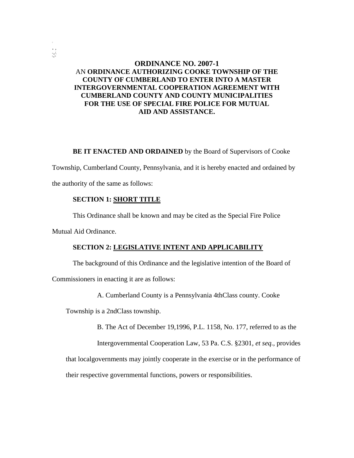# **ORDINANCE NO. 2007-1** AN **ORDINANCE AUTHORIZING COOKE TOWNSHIP OF THE COUNTY OF CUMBERLAND TO ENTER INTO A MASTER INTERGOVERNMENTAL COOPERATION AGREEMENT WITH CUMBERLAND COUNTY AND COUNTY MUNICIPALITIES FOR THE USE OF SPECIAL FIRE POLICE FOR MUTUAL AID AND ASSISTANCE.**

**BE IT ENACTED AND ORDAINED** by the Board of Supervisors of Cooke

Township, Cumberland County, Pennsylvania, and it is hereby enacted and ordained by

the authority of the same as follows:

## **SECTION 1: SHORT TITLE**

This Ordinance shall be known and may be cited as the Special Fire Police

Mutual Aid Ordinance.

. , -,,/. '<"

#### **SECTION 2: LEGISLATIVE INTENT AND APPLICABILITY**

The background of this Ordinance and the legislative intention of the Board of

Commissioners in enacting it are as follows:

A. Cumberland County is a Pennsylvania 4thClass county. Cooke

Township is a 2ndClass township.

B. The Act of December 19,1996, P.L. 1158, No. 177, referred to as the

Intergovernmental Cooperation Law, 53 Pa. C.S. §2301, *et seq.,* provides

that localgovernments may jointly cooperate in the exercise or in the performance of

their respective governmental functions, powers or responsibilities.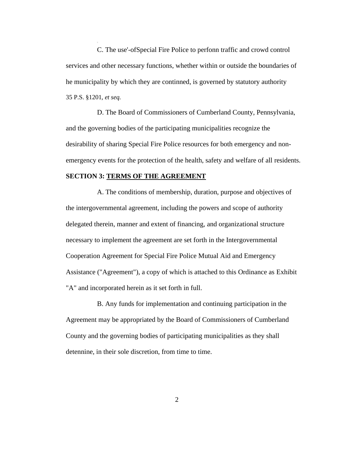C. The use'-ofSpecial Fire Police to perfonn traffic and crowd control services and other necessary functions, whether within or outside the boundaries of he municipality by which they are continned, is governed by statutory authority 35 P.S. §1201, *et seq.*

D. The Board of Commissioners of Cumberland County, Pennsylvania, and the governing bodies of the participating municipalities recognize the desirability of sharing Special Fire Police resources for both emergency and nonemergency events for the protection of the health, safety and welfare of all residents.

## **SECTION 3: TERMS OF THE AGREEMENT**

A. The conditions of membership, duration, purpose and objectives of the intergovernmental agreement, including the powers and scope of authority delegated therein, manner and extent of financing, and organizational structure necessary to implement the agreement are set forth in the Intergovernmental Cooperation Agreement for Special Fire Police Mutual Aid and Emergency Assistance ("Agreement"), a copy of which is attached to this Ordinance as Exhibit "A" and incorporated herein as it set forth in full.

B. Any funds for implementation and continuing participation in the Agreement may be appropriated by the Board of Commissioners of Cumberland County and the governing bodies of participating municipalities as they shall detennine, in their sole discretion, from time to time.

2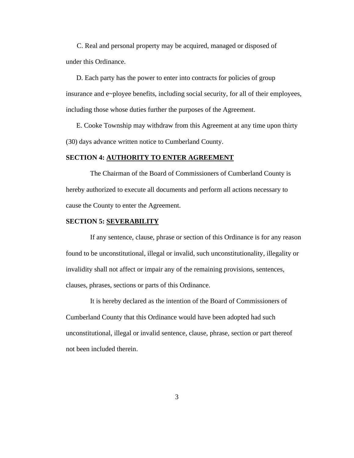C. Real and personal property may be acquired, managed or disposed of under this Ordinance.

D. Each party has the power to enter into contracts for policies of group insurance and e~ployee benefits, including social security, for all of their employees, including those whose duties further the purposes of the Agreement.

E. Cooke Township may withdraw from this Agreement at any time upon thirty (30) days advance written notice to Cumberland County.

#### **SECTION 4: AUTHORITY TO ENTER AGREEMENT**

The Chairman of the Board of Commissioners of Cumberland County is hereby authorized to execute all documents and perform all actions necessary to cause the County to enter the Agreement.

## **SECTION 5: SEVERABILITY**

If any sentence, clause, phrase or section of this Ordinance is for any reason found to be unconstitutional, illegal or invalid, such unconstitutionality, illegality or invalidity shall not affect or impair any of the remaining provisions, sentences, clauses, phrases, sections or parts of this Ordinance.

It is hereby declared as the intention of the Board of Commissioners of Cumberland County that this Ordinance would have been adopted had such unconstitutional, illegal or invalid sentence, clause, phrase, section or part thereof not been included therein.